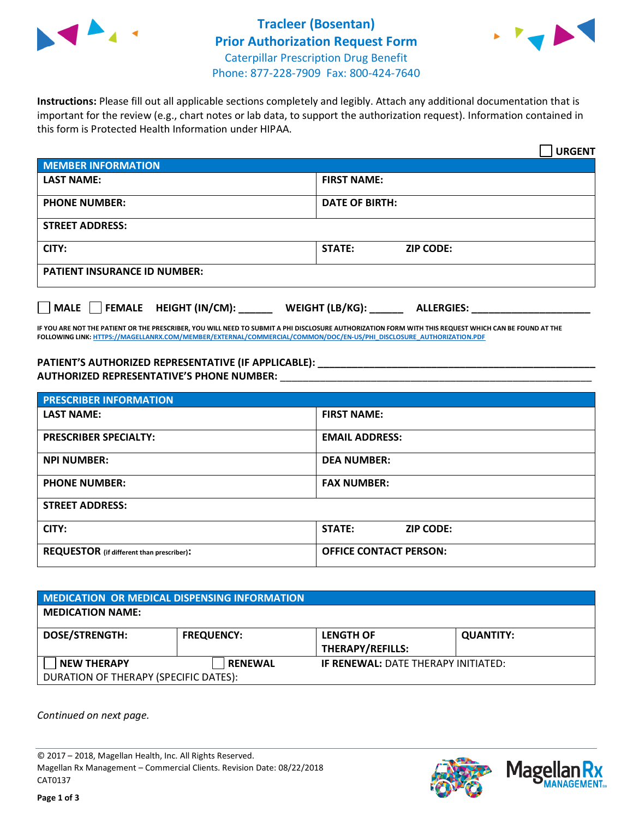



**Instructions:** Please fill out all applicable sections completely and legibly. Attach any additional documentation that is important for the review (e.g., chart notes or lab data, to support the authorization request). Information contained in this form is Protected Health Information under HIPAA.

|                                                              | <b>URGENT</b>                        |  |  |  |
|--------------------------------------------------------------|--------------------------------------|--|--|--|
| <b>MEMBER INFORMATION</b>                                    |                                      |  |  |  |
| <b>LAST NAME:</b>                                            | <b>FIRST NAME:</b>                   |  |  |  |
| <b>PHONE NUMBER:</b>                                         | <b>DATE OF BIRTH:</b>                |  |  |  |
| <b>STREET ADDRESS:</b>                                       |                                      |  |  |  |
| CITY:                                                        | <b>ZIP CODE:</b><br>STATE:           |  |  |  |
| <b>PATIENT INSURANCE ID NUMBER:</b>                          |                                      |  |  |  |
| FEMALE HEIGHT (IN/CM):<br>$\blacksquare$ MALE $\blacksquare$ | WEIGHT (LB/KG):<br><b>ALLERGIES:</b> |  |  |  |

**IF YOU ARE NOT THE PATIENT OR THE PRESCRIBER, YOU WILL NEED TO SUBMIT A PHI DISCLOSURE AUTHORIZATION FORM WITH THIS REQUEST WHICH CAN BE FOUND AT THE FOLLOWING LINK[: HTTPS://MAGELLANRX.COM/MEMBER/EXTERNAL/COMMERCIAL/COMMON/DOC/EN-US/PHI\\_DISCLOSURE\\_AUTHORIZATION.PDF](https://magellanrx.com/member/external/commercial/common/doc/en-us/PHI_Disclosure_Authorization.pdf)**

**PATIENT'S AUTHORIZED REPRESENTATIVE (IF APPLICABLE): \_\_\_\_\_\_\_\_\_\_\_\_\_\_\_\_\_\_\_\_\_\_\_\_\_\_\_\_\_\_\_\_\_\_\_\_\_\_\_\_\_\_\_\_\_\_\_\_\_ AUTHORIZED REPRESENTATIVE'S PHONE NUMBER:** \_\_\_\_\_\_\_\_\_\_\_\_\_\_\_\_\_\_\_\_\_\_\_\_\_\_\_\_\_\_\_\_\_\_\_\_\_\_\_\_\_\_\_\_\_\_\_\_\_\_\_\_\_\_\_

| <b>PRESCRIBER INFORMATION</b>             |                                   |  |  |  |
|-------------------------------------------|-----------------------------------|--|--|--|
| <b>LAST NAME:</b>                         | <b>FIRST NAME:</b>                |  |  |  |
| <b>PRESCRIBER SPECIALTY:</b>              | <b>EMAIL ADDRESS:</b>             |  |  |  |
| <b>NPI NUMBER:</b>                        | <b>DEA NUMBER:</b>                |  |  |  |
| <b>PHONE NUMBER:</b>                      | <b>FAX NUMBER:</b>                |  |  |  |
| <b>STREET ADDRESS:</b>                    |                                   |  |  |  |
| CITY:                                     | <b>STATE:</b><br><b>ZIP CODE:</b> |  |  |  |
| REQUESTOR (if different than prescriber): | <b>OFFICE CONTACT PERSON:</b>     |  |  |  |

| <b>MEDICATION OR MEDICAL DISPENSING INFORMATION</b> |                   |                                             |                  |  |  |
|-----------------------------------------------------|-------------------|---------------------------------------------|------------------|--|--|
| <b>MEDICATION NAME:</b>                             |                   |                                             |                  |  |  |
| <b>DOSE/STRENGTH:</b>                               | <b>FREQUENCY:</b> | <b>LENGTH OF</b><br><b>THERAPY/REFILLS:</b> | <b>QUANTITY:</b> |  |  |
| <b>NEW THERAPY</b>                                  | <b>RENEWAL</b>    | <b>IF RENEWAL: DATE THERAPY INITIATED:</b>  |                  |  |  |
| DURATION OF THERAPY (SPECIFIC DATES):               |                   |                                             |                  |  |  |

*Continued on next page.*

© 2017 – 2018, Magellan Health, Inc. All Rights Reserved. Magellan Rx Management – Commercial Clients. Revision Date: 08/22/2018 CAT0137



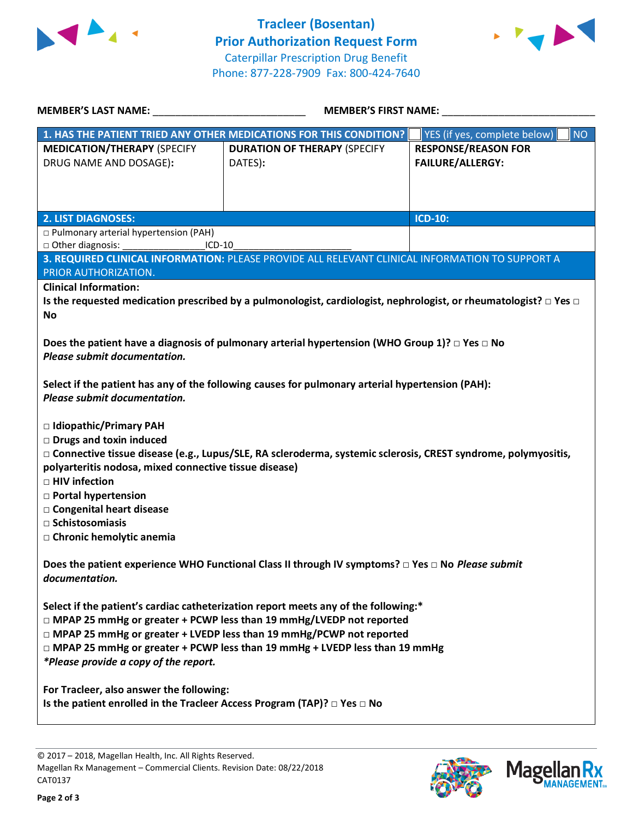



| <b>MEMBER'S LAST NAME:</b>                                                                                                                                                                                                                                                                                                                                                                                                                                                                                                                                                                                                                                                                                                                                                                                                                   | <b>MEMBER'S FIRST NAME:</b>                                        |                                                       |  |  |
|----------------------------------------------------------------------------------------------------------------------------------------------------------------------------------------------------------------------------------------------------------------------------------------------------------------------------------------------------------------------------------------------------------------------------------------------------------------------------------------------------------------------------------------------------------------------------------------------------------------------------------------------------------------------------------------------------------------------------------------------------------------------------------------------------------------------------------------------|--------------------------------------------------------------------|-------------------------------------------------------|--|--|
|                                                                                                                                                                                                                                                                                                                                                                                                                                                                                                                                                                                                                                                                                                                                                                                                                                              | 1. HAS THE PATIENT TRIED ANY OTHER MEDICATIONS FOR THIS CONDITION? | YES (if yes, complete below)<br><b>NO</b>             |  |  |
| <b>MEDICATION/THERAPY (SPECIFY</b><br>DRUG NAME AND DOSAGE):                                                                                                                                                                                                                                                                                                                                                                                                                                                                                                                                                                                                                                                                                                                                                                                 | <b>DURATION OF THERAPY (SPECIFY</b><br>DATES):                     | <b>RESPONSE/REASON FOR</b><br><b>FAILURE/ALLERGY:</b> |  |  |
| <b>2. LIST DIAGNOSES:</b>                                                                                                                                                                                                                                                                                                                                                                                                                                                                                                                                                                                                                                                                                                                                                                                                                    |                                                                    | <b>ICD-10:</b>                                        |  |  |
| □ Pulmonary arterial hypertension (PAH)<br>□ Other diagnosis:<br>ICD-10<br>3. REQUIRED CLINICAL INFORMATION: PLEASE PROVIDE ALL RELEVANT CLINICAL INFORMATION TO SUPPORT A                                                                                                                                                                                                                                                                                                                                                                                                                                                                                                                                                                                                                                                                   |                                                                    |                                                       |  |  |
| PRIOR AUTHORIZATION.                                                                                                                                                                                                                                                                                                                                                                                                                                                                                                                                                                                                                                                                                                                                                                                                                         |                                                                    |                                                       |  |  |
| <b>Clinical Information:</b><br>Is the requested medication prescribed by a pulmonologist, cardiologist, nephrologist, or rheumatologist? $\Box$ Yes $\Box$<br><b>No</b><br>Does the patient have a diagnosis of pulmonary arterial hypertension (WHO Group 1)? $\Box$ Yes $\Box$ No<br>Please submit documentation.<br>Select if the patient has any of the following causes for pulmonary arterial hypertension (PAH):<br>Please submit documentation.<br>□ Idiopathic/Primary PAH<br><b>Drugs and toxin induced</b><br>□ Connective tissue disease (e.g., Lupus/SLE, RA scleroderma, systemic sclerosis, CREST syndrome, polymyositis,<br>polyarteritis nodosa, mixed connective tissue disease)<br>□ HIV infection<br><b>D</b> Portal hypertension<br>□ Congenital heart disease<br>$\Box$ Schistosomiasis<br>□ Chronic hemolytic anemia |                                                                    |                                                       |  |  |
| Does the patient experience WHO Functional Class II through IV symptoms? □ Yes □ No Please submit<br>documentation.                                                                                                                                                                                                                                                                                                                                                                                                                                                                                                                                                                                                                                                                                                                          |                                                                    |                                                       |  |  |
| Select if the patient's cardiac catheterization report meets any of the following:*<br>□ MPAP 25 mmHg or greater + PCWP less than 19 mmHg/LVEDP not reported<br>□ MPAP 25 mmHg or greater + LVEDP less than 19 mmHg/PCWP not reported<br>$\Box$ MPAP 25 mmHg or greater + PCWP less than 19 mmHg + LVEDP less than 19 mmHg<br>*Please provide a copy of the report.<br>For Tracleer, also answer the following:<br>Is the patient enrolled in the Tracleer Access Program (TAP)? $\Box$ Yes $\Box$ No                                                                                                                                                                                                                                                                                                                                        |                                                                    |                                                       |  |  |
|                                                                                                                                                                                                                                                                                                                                                                                                                                                                                                                                                                                                                                                                                                                                                                                                                                              |                                                                    |                                                       |  |  |

© 2017 – 2018, Magellan Health, Inc. All Rights Reserved. Magellan Rx Management – Commercial Clients. Revision Date: 08/22/2018 CAT0137